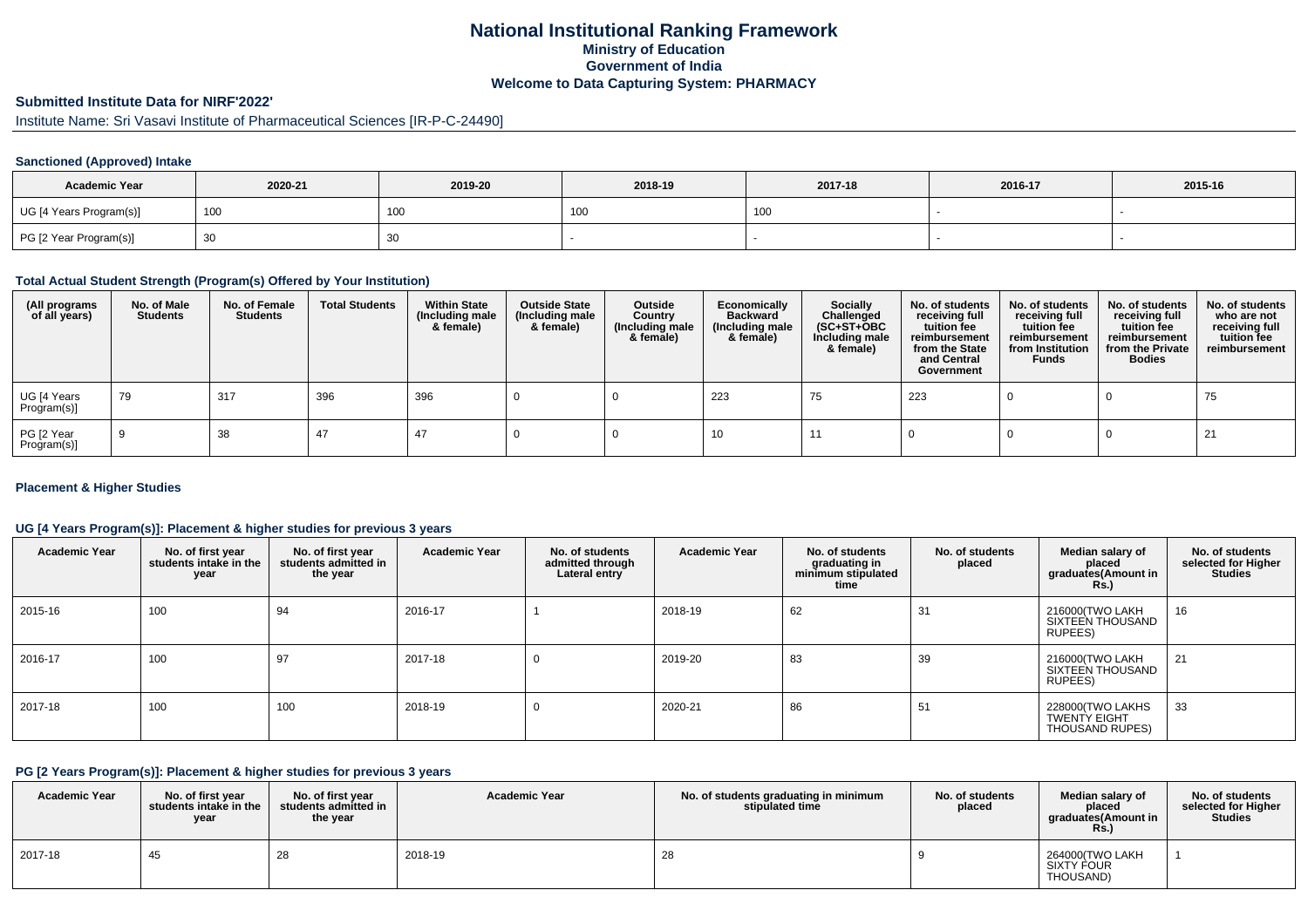## **National Institutional Ranking FrameworkMinistry of Education Government of IndiaWelcome to Data Capturing System: PHARMACY**

# **Submitted Institute Data for NIRF'2022'**

Institute Name: Sri Vasavi Institute of Pharmaceutical Sciences [IR-P-C-24490]

### **Sanctioned (Approved) Intake**

| <b>Academic Year</b>    | 2020-21 | 2019-20 | 2018-19         | 2017-18           | 2016-17 | 2015-16 |
|-------------------------|---------|---------|-----------------|-------------------|---------|---------|
| UG [4 Years Program(s)] | 100     | 100     | 10 <sub>0</sub> | 100<br><b>IUU</b> |         |         |
| PG [2 Year Program(s)]  |         | 30      |                 |                   |         |         |

#### **Total Actual Student Strength (Program(s) Offered by Your Institution)**

| (All programs<br>of all years) | No. of Male<br><b>Students</b> | No. of Female<br><b>Students</b> | <b>Total Students</b> | <b>Within State</b><br>(Including male<br>& female) | <b>Outside State</b><br>(Including male<br>& female) | Outside<br>Country<br>(Including male<br>& female) | Economically<br><b>Backward</b><br>(Including male<br>& female) | <b>Socially</b><br>Challenged<br>$(SC+ST+OBC)$<br>Including male<br>& female) | No. of students<br>receiving full<br>tuition fee<br>reimbursement<br>from the State<br>and Central<br>Government | No. of students<br>receiving full<br>tuition fee<br>reimbursement<br>from Institution<br><b>Funds</b> | No. of students<br>receiving full<br>tuition fee<br>reimbursement<br>from the Private<br><b>Bodies</b> | No. of students<br>who are not<br>receiving full<br>tuition fee<br>reimbursement |
|--------------------------------|--------------------------------|----------------------------------|-----------------------|-----------------------------------------------------|------------------------------------------------------|----------------------------------------------------|-----------------------------------------------------------------|-------------------------------------------------------------------------------|------------------------------------------------------------------------------------------------------------------|-------------------------------------------------------------------------------------------------------|--------------------------------------------------------------------------------------------------------|----------------------------------------------------------------------------------|
| UG [4 Years<br>Program(s)]     | 79                             | 317                              | 396                   | 396                                                 |                                                      |                                                    | 223                                                             | 75                                                                            | 223                                                                                                              |                                                                                                       |                                                                                                        | 75                                                                               |
| PG [2 Year<br>Program(s)]      |                                | 38                               | 47                    | 47                                                  |                                                      |                                                    | 10                                                              |                                                                               |                                                                                                                  |                                                                                                       |                                                                                                        | 21                                                                               |

### **Placement & Higher Studies**

### **UG [4 Years Program(s)]: Placement & higher studies for previous 3 years**

| <b>Academic Year</b> | No. of first year<br>students intake in the<br>year | No. of first year<br>students admitted in<br>the year | <b>Academic Year</b> | No. of students<br>admitted through<br>Lateral entry | <b>Academic Year</b> | No. of students<br>graduating in<br>minimum stipulated<br>time | No. of students<br>placed | Median salary of<br>placed<br>graduates(Amount in<br><b>Rs.)</b> | No. of students<br>selected for Higher<br><b>Studies</b> |
|----------------------|-----------------------------------------------------|-------------------------------------------------------|----------------------|------------------------------------------------------|----------------------|----------------------------------------------------------------|---------------------------|------------------------------------------------------------------|----------------------------------------------------------|
| 2015-16              | 100                                                 | 94                                                    | 2016-17              |                                                      | 2018-19              | 62                                                             | 31                        | 216000(TWO LAKH<br>SIXTEEN THOUSAND<br>RUPEES)                   | 16                                                       |
| 2016-17              | 100                                                 | 97                                                    | 2017-18              | 0                                                    | 2019-20              | 83                                                             | 39                        | 216000(TWO LAKH<br>SIXTEEN THOUSAND<br>RUPEES)                   | 21                                                       |
| 2017-18              | 100                                                 | 100                                                   | 2018-19              | 0                                                    | 2020-21              | 86                                                             | 51                        | 228000(TWO LAKHS<br><b>TWENTY EIGHT</b><br>THOUSAND RUPES)       | 33                                                       |

### **PG [2 Years Program(s)]: Placement & higher studies for previous 3 years**

| <b>Academic Year</b> | No. of first vear<br>students intake in the<br>year | No. of first vear<br>students admitted in<br>the year | <b>Academic Year</b> | No. of students graduating in minimum<br>stipulated time | No. of students<br>placed | Median salary of<br>placed<br>graduates(Amount in<br>Rs. | No. of students<br>selected for Higher  <br><b>Studies</b> |
|----------------------|-----------------------------------------------------|-------------------------------------------------------|----------------------|----------------------------------------------------------|---------------------------|----------------------------------------------------------|------------------------------------------------------------|
| 2017-18              | -45                                                 | 28                                                    | 2018-19              | 28                                                       |                           | 264000(TWO LAKH<br><b>SIXTY FOUR</b><br>THOUSAND)        |                                                            |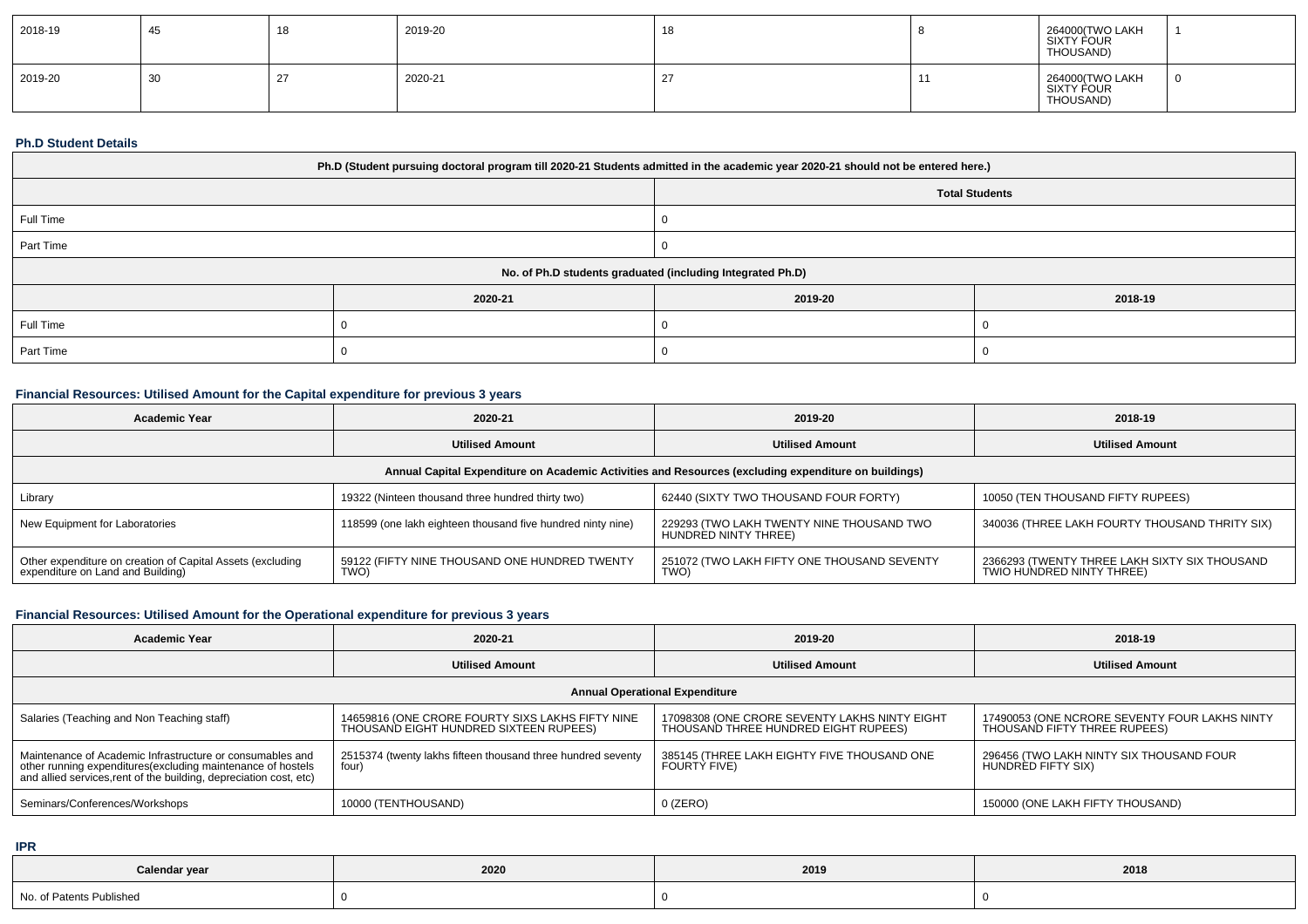| 2018-19 | 45 | 40<br>10 | 2019-20 | 18 | 264000(TWO LAKH<br>  SIXTY FOUR<br>THOUSAND) |  |
|---------|----|----------|---------|----|----------------------------------------------|--|
| 2019-20 | 30 |          | 2020-21 |    | 264000(TWO LAKH<br>SIXTY FOUR<br>THOUSAND)   |  |

#### **Ph.D Student Details**

| Ph.D (Student pursuing doctoral program till 2020-21 Students admitted in the academic year 2020-21 should not be entered here.) |         |         |         |  |  |  |  |
|----------------------------------------------------------------------------------------------------------------------------------|---------|---------|---------|--|--|--|--|
| <b>Total Students</b>                                                                                                            |         |         |         |  |  |  |  |
| Full Time                                                                                                                        |         |         |         |  |  |  |  |
| Part Time                                                                                                                        |         |         |         |  |  |  |  |
| No. of Ph.D students graduated (including Integrated Ph.D)                                                                       |         |         |         |  |  |  |  |
|                                                                                                                                  | 2020-21 | 2019-20 | 2018-19 |  |  |  |  |
| Full Time                                                                                                                        |         |         |         |  |  |  |  |
| Part Time                                                                                                                        |         |         |         |  |  |  |  |

## **Financial Resources: Utilised Amount for the Capital expenditure for previous 3 years**

| <b>Academic Year</b>                                                                                 | 2020-21                                                     | 2019-20                                                           | 2018-19                                                                    |  |  |  |  |  |
|------------------------------------------------------------------------------------------------------|-------------------------------------------------------------|-------------------------------------------------------------------|----------------------------------------------------------------------------|--|--|--|--|--|
|                                                                                                      | <b>Utilised Amount</b>                                      | <b>Utilised Amount</b>                                            | <b>Utilised Amount</b>                                                     |  |  |  |  |  |
| Annual Capital Expenditure on Academic Activities and Resources (excluding expenditure on buildings) |                                                             |                                                                   |                                                                            |  |  |  |  |  |
| Library                                                                                              | 19322 (Ninteen thousand three hundred thirty two)           | 62440 (SIXTY TWO THOUSAND FOUR FORTY)                             | 10050 (TEN THOUSAND FIFTY RUPEES)                                          |  |  |  |  |  |
| New Equipment for Laboratories                                                                       | 118599 (one lakh eighteen thousand five hundred ninty nine) | 229293 (TWO LAKH TWENTY NINE THOUSAND TWO<br>HUNDRED NINTY THREE) | 340036 (THREE LAKH FOURTY THOUSAND THRITY SIX)                             |  |  |  |  |  |
| Other expenditure on creation of Capital Assets (excluding<br>expenditure on Land and Building)      | 59122 (FIFTY NINE THOUSAND ONE HUNDRED TWENTY<br>TWO)       | 251072 (TWO LAKH FIFTY ONE THOUSAND SEVENTY<br><b>TWO</b>         | 2366293 (TWENTY THREE LAKH SIXTY SIX THOUSAND<br>TWIO HUNDRED NINTY THREE) |  |  |  |  |  |

# **Financial Resources: Utilised Amount for the Operational expenditure for previous 3 years**

| <b>Academic Year</b>                                                                                                                                                                            | 2020-21                                                                                    | 2019-20                                                                               | 2018-19                                                                       |  |  |  |  |  |
|-------------------------------------------------------------------------------------------------------------------------------------------------------------------------------------------------|--------------------------------------------------------------------------------------------|---------------------------------------------------------------------------------------|-------------------------------------------------------------------------------|--|--|--|--|--|
|                                                                                                                                                                                                 | <b>Utilised Amount</b>                                                                     | <b>Utilised Amount</b>                                                                | <b>Utilised Amount</b>                                                        |  |  |  |  |  |
| <b>Annual Operational Expenditure</b>                                                                                                                                                           |                                                                                            |                                                                                       |                                                                               |  |  |  |  |  |
| Salaries (Teaching and Non Teaching staff)                                                                                                                                                      | 14659816 (ONE CRORE FOURTY SIXS LAKHS FIFTY NINE<br>THOUSAND EIGHT HUNDRED SIXTEEN RUPEES) | 17098308 (ONE CRORE SEVENTY LAKHS NINTY EIGHT<br>THOUSAND THREE HUNDRED EIGHT RUPEES) | 17490053 (ONE NCRORE SEVENTY FOUR LAKHS NINTY<br>THOUSAND FIFTY THREE RUPEES) |  |  |  |  |  |
| Maintenance of Academic Infrastructure or consumables and<br>other running expenditures (excluding maintenance of hostels<br>and allied services, rent of the building, depreciation cost, etc) | 2515374 (twenty lakhs fifteen thousand three hundred seventy<br>four)                      | 385145 (THREE LAKH EIGHTY FIVE THOUSAND ONE<br><b>FOURTY FIVE)</b>                    | 296456 (TWO LAKH NINTY SIX THOUSAND FOUR<br>HUNDRED FIFTY SIX)                |  |  |  |  |  |
| Seminars/Conferences/Workshops                                                                                                                                                                  | 10000 (TENTHOUSAND)                                                                        | $0$ (ZERO)                                                                            | 150000 (ONE LAKH FIFTY THOUSAND)                                              |  |  |  |  |  |

**IPR**

| Calendar year            | 2020 | 2019 | 2018 |
|--------------------------|------|------|------|
| No. of Patents Published |      |      |      |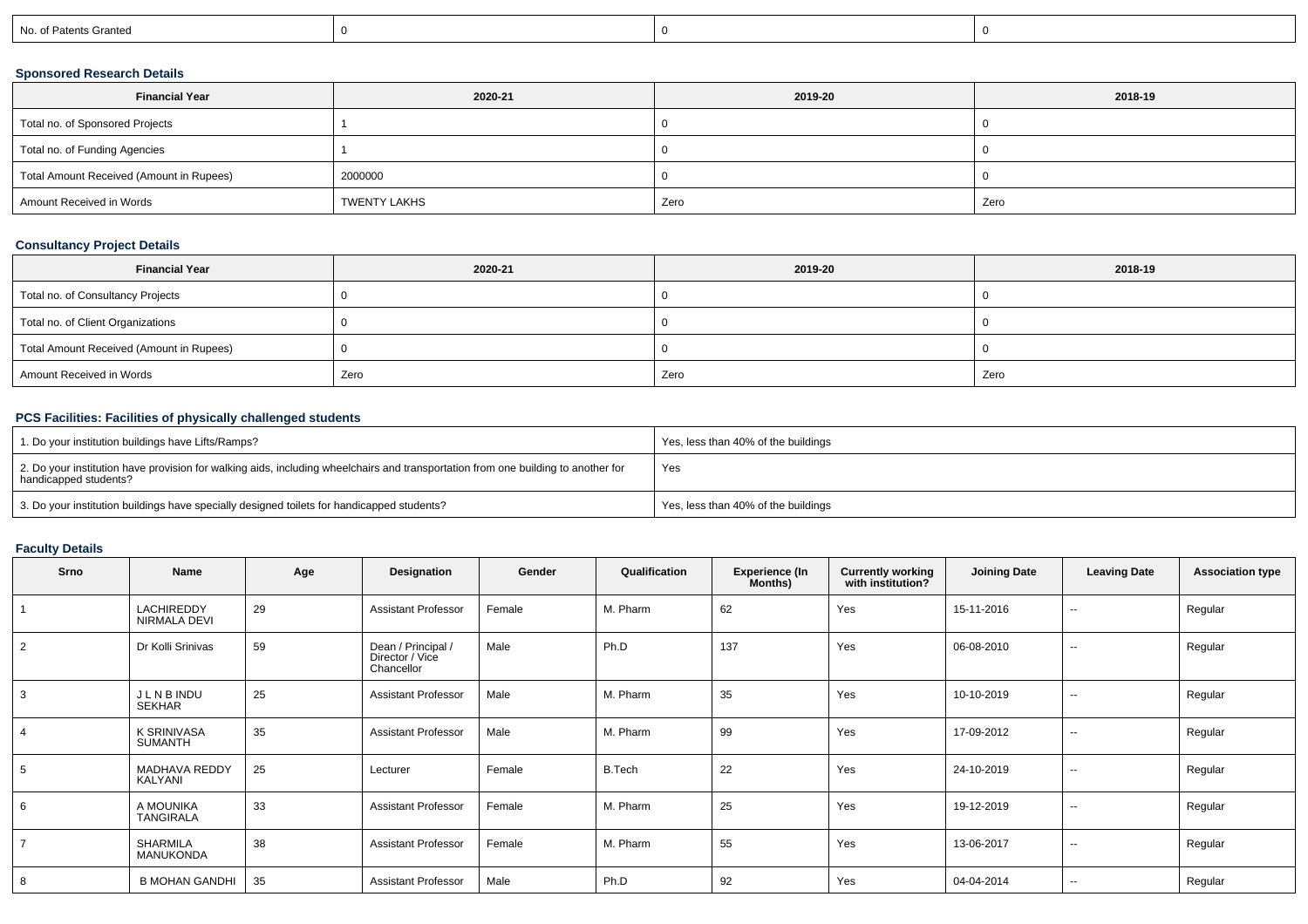| No. of Patents Granted |
|------------------------|
|------------------------|

## **Sponsored Research Details**

| <b>Financial Year</b>                    | 2020-21      | 2019-20 | 2018-19 |
|------------------------------------------|--------------|---------|---------|
| Total no. of Sponsored Projects          |              |         |         |
| Total no. of Funding Agencies            |              |         |         |
| Total Amount Received (Amount in Rupees) | 2000000      |         |         |
| Amount Received in Words                 | TWENTY LAKHS | Zero    | Zero    |

## **Consultancy Project Details**

| <b>Financial Year</b>                    | 2020-21 | 2019-20 | 2018-19 |
|------------------------------------------|---------|---------|---------|
| Total no. of Consultancy Projects        |         |         |         |
| Total no. of Client Organizations        |         |         |         |
| Total Amount Received (Amount in Rupees) |         |         |         |
| Amount Received in Words                 | Zero    | Zero    | Zero    |

## **PCS Facilities: Facilities of physically challenged students**

| 1. Do your institution buildings have Lifts/Ramps?                                                                                                         | Yes, less than 40% of the buildings |
|------------------------------------------------------------------------------------------------------------------------------------------------------------|-------------------------------------|
| 2. Do your institution have provision for walking aids, including wheelchairs and transportation from one building to another for<br>handicapped students? | Yes                                 |
| 3. Do your institution buildings have specially designed toilets for handicapped students?                                                                 | Yes, less than 40% of the buildings |

# **Faculty Details**

| Srno           | Name                              | Age | Designation                                         | Gender | Qualification | <b>Experience (In</b><br>Months) | <b>Currently working<br/>with institution?</b> | <b>Joining Date</b> | <b>Leaving Date</b> | <b>Association type</b> |
|----------------|-----------------------------------|-----|-----------------------------------------------------|--------|---------------|----------------------------------|------------------------------------------------|---------------------|---------------------|-------------------------|
|                | <b>LACHIREDDY</b><br>NIRMALA DEVI | 29  | <b>Assistant Professor</b>                          | Female | M. Pharm      | 62                               | Yes                                            | 15-11-2016          | $\sim$              | Regular                 |
| $\overline{2}$ | Dr Kolli Srinivas                 | 59  | Dean / Principal /<br>Director / Vice<br>Chancellor | Male   | Ph.D          | 137                              | Yes                                            | 06-08-2010          | $\sim$              | Regular                 |
| 3              | J L N B INDU<br>SEKHAR            | 25  | <b>Assistant Professor</b>                          | Male   | M. Pharm      | 35                               | Yes                                            | 10-10-2019          | --                  | Regular                 |
|                | <b>K SRINIVASA</b><br>SUMANTH     | 35  | <b>Assistant Professor</b>                          | Male   | M. Pharm      | 99                               | Yes                                            | 17-09-2012          | --                  | Regular                 |
| 5              | MADHAVA REDDY<br>KALYANI          | 25  | Lecturer                                            | Female | B.Tech        | 22                               | Yes                                            | 24-10-2019          | $\sim$              | Regular                 |
| 6              | A MOUNIKA<br><b>TANGIRALA</b>     | 33  | <b>Assistant Professor</b>                          | Female | M. Pharm      | 25                               | Yes                                            | 19-12-2019          | --                  | Regular                 |
| $\overline{7}$ | <b>SHARMILA</b><br>MANUKONDA      | 38  | <b>Assistant Professor</b>                          | Female | M. Pharm      | 55                               | Yes                                            | 13-06-2017          | $\sim$              | Regular                 |
| 8              | <b>B MOHAN GANDHI</b>             | 35  | <b>Assistant Professor</b>                          | Male   | Ph.D          | 92                               | Yes                                            | 04-04-2014          | --                  | Regular                 |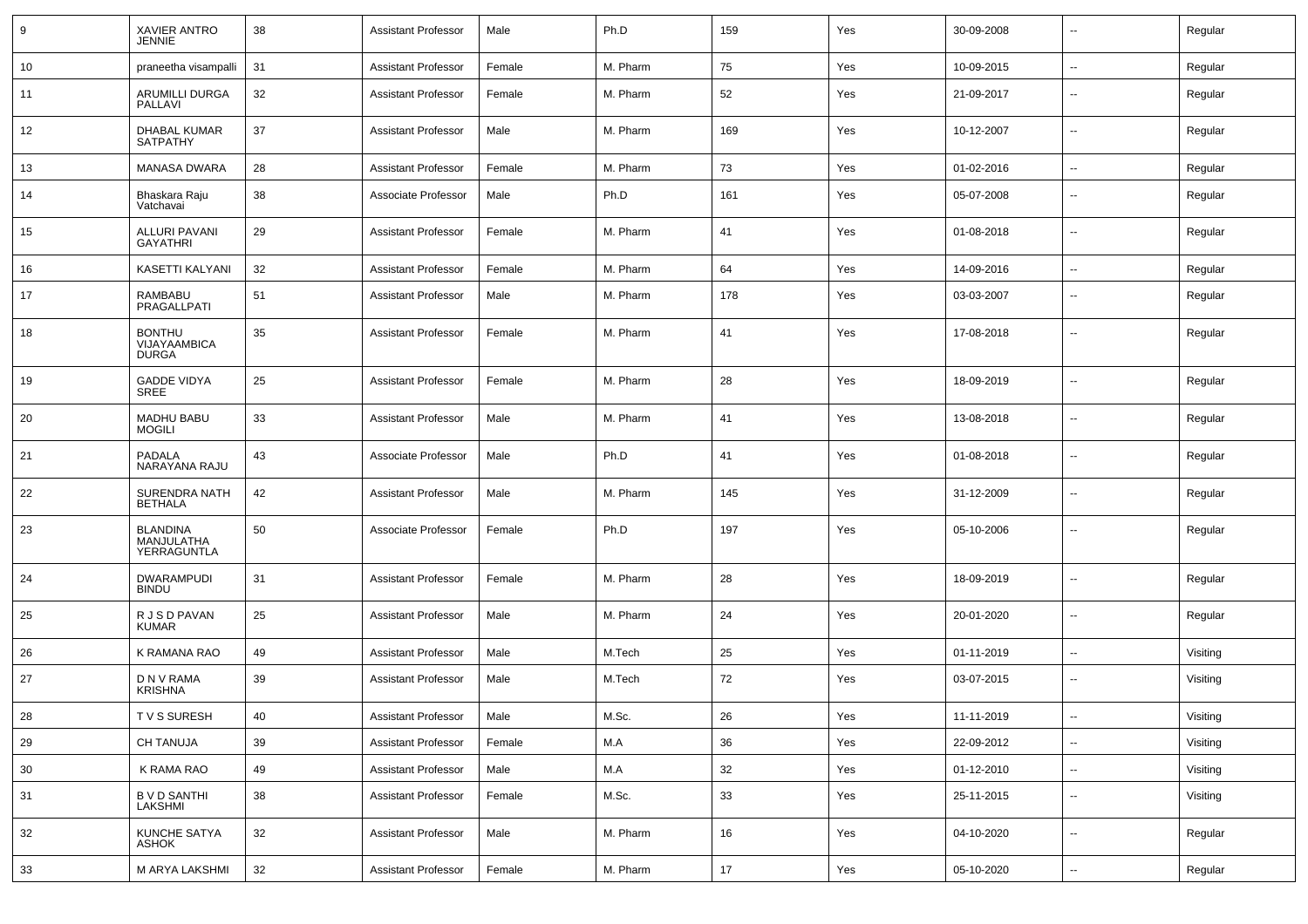| 9          | XAVIER ANTRO<br><b>JENNIE</b>                 | 38     | Assistant Professor        | Male   | Ph.D     | 159 | Yes | 30-09-2008 | $\overline{\phantom{a}}$ | Regular  |
|------------|-----------------------------------------------|--------|----------------------------|--------|----------|-----|-----|------------|--------------------------|----------|
| 10         | praneetha visampalli                          | 31     | <b>Assistant Professor</b> | Female | M. Pharm | 75  | Yes | 10-09-2015 | $\sim$                   | Regular  |
| 11         | <b>ARUMILLI DURGA</b><br>PALLAVI              | 32     | Assistant Professor        | Female | M. Pharm | 52  | Yes | 21-09-2017 | --                       | Regular  |
| 12         | DHABAL KUMAR<br><b>SATPATHY</b>               | 37     | Assistant Professor        | Male   | M. Pharm | 169 | Yes | 10-12-2007 | $\overline{\phantom{a}}$ | Regular  |
| 13         | <b>MANASA DWARA</b>                           | 28     | Assistant Professor        | Female | M. Pharm | 73  | Yes | 01-02-2016 | $\sim$                   | Regular  |
| 14         | Bhaskara Raju<br>Vatchavai                    | 38     | Associate Professor        | Male   | Ph.D     | 161 | Yes | 05-07-2008 | $\overline{\phantom{a}}$ | Regular  |
| 15         | ALLURI PAVANI<br><b>GAYATHRI</b>              | 29     | <b>Assistant Professor</b> | Female | M. Pharm | 41  | Yes | 01-08-2018 | $\overline{\phantom{a}}$ | Regular  |
| 16         | KASETTI KALYANI                               | 32     | <b>Assistant Professor</b> | Female | M. Pharm | 64  | Yes | 14-09-2016 | $\overline{\phantom{a}}$ | Regular  |
| 17         | RAMBABU<br>PRAGALLPATI                        | 51     | <b>Assistant Professor</b> | Male   | M. Pharm | 178 | Yes | 03-03-2007 | $\overline{\phantom{a}}$ | Regular  |
| 18         | <b>BONTHU</b><br>VIJAYAAMBICA<br><b>DURGA</b> | 35     | <b>Assistant Professor</b> | Female | M. Pharm | 41  | Yes | 17-08-2018 | $\overline{\phantom{a}}$ | Regular  |
| 19         | <b>GADDE VIDYA</b><br>SREE                    | 25     | <b>Assistant Professor</b> | Female | M. Pharm | 28  | Yes | 18-09-2019 | $\overline{\phantom{a}}$ | Regular  |
| 20         | <b>MADHU BABU</b><br><b>MOGILI</b>            | 33     | <b>Assistant Professor</b> | Male   | M. Pharm | 41  | Yes | 13-08-2018 | $\overline{\phantom{a}}$ | Regular  |
| 21         | PADALA<br>NARAYANA RAJU                       | 43     | Associate Professor        | Male   | Ph.D     | 41  | Yes | 01-08-2018 | $\overline{\phantom{a}}$ | Regular  |
| 22         | <b>SURENDRA NATH</b><br><b>BETHALA</b>        | 42     | <b>Assistant Professor</b> | Male   | M. Pharm | 145 | Yes | 31-12-2009 | $\overline{\phantom{a}}$ | Regular  |
| 23         | <b>BLANDINA</b><br>MANJULATHA<br>YERRAGUNTLA  | 50     | Associate Professor        | Female | Ph.D     | 197 | Yes | 05-10-2006 | $\overline{\phantom{a}}$ | Regular  |
| 24         | <b>DWARAMPUDI</b><br><b>BINDU</b>             | 31     | Assistant Professor        | Female | M. Pharm | 28  | Yes | 18-09-2019 | $\overline{\phantom{a}}$ | Regular  |
| 25         | R J S D PAVAN<br><b>KUMAR</b>                 | 25     | Assistant Professor        | Male   | M. Pharm | 24  | Yes | 20-01-2020 | --                       | Regular  |
| 26         | K RAMANA RAO                                  | 49     | <b>Assistant Professor</b> | Male   | M.Tech   | 25  | Yes | 01-11-2019 | $\mathbf{u}$             | Visiting |
| 27         | D N V RAMA<br><b>KRISHNA</b>                  | 39     | <b>Assistant Professor</b> | Male   | M.Tech   | 72  | Yes | 03-07-2015 | $\overline{\phantom{a}}$ | Visiting |
| ${\bf 28}$ | TVS SURESH                                    | 40     | Assistant Professor        | Male   | M.Sc.    | 26  | Yes | 11-11-2019 | $\overline{\phantom{a}}$ | Visiting |
| 29         | <b>CH TANUJA</b>                              | 39     | <b>Assistant Professor</b> | Female | M.A      | 36  | Yes | 22-09-2012 | $\sim$                   | Visiting |
| 30         | K RAMA RAO                                    | 49     | <b>Assistant Professor</b> | Male   | M.A      | 32  | Yes | 01-12-2010 | $\sim$                   | Visiting |
| 31         | B V D SANTHI<br>LAKSHMI                       | 38     | <b>Assistant Professor</b> | Female | M.Sc.    | 33  | Yes | 25-11-2015 | $\sim$                   | Visiting |
| 32         | KUNCHE SATYA<br>ASHOK                         | 32     | <b>Assistant Professor</b> | Male   | M. Pharm | 16  | Yes | 04-10-2020 | $\sim$                   | Regular  |
| 33         | M ARYA LAKSHMI                                | $32\,$ | <b>Assistant Professor</b> | Female | M. Pharm | 17  | Yes | 05-10-2020 | $\sim$                   | Regular  |